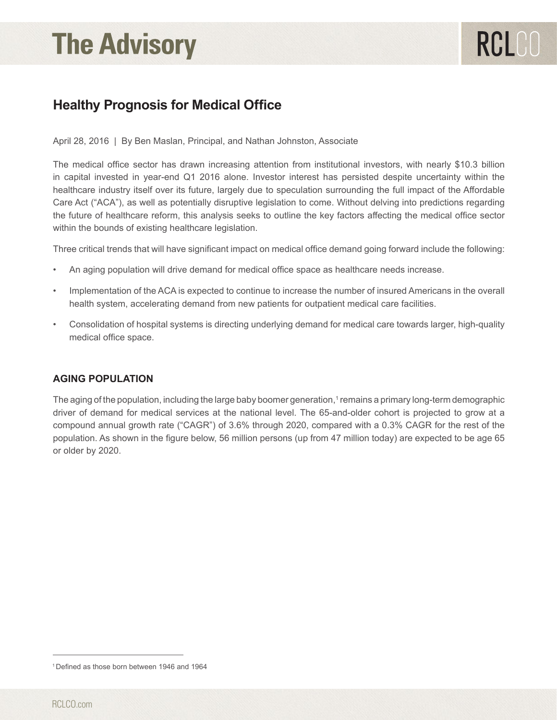# **The Advisory**

# **Healthy Prognosis for Medical Office**

April 28, 2016 | By Ben Maslan, Principal, and Nathan Johnston, Associate

The medical office sector has drawn increasing attention from institutional investors, with nearly \$10.3 billion in capital invested in year-end Q1 2016 alone. Investor interest has persisted despite uncertainty within the healthcare industry itself over its future, largely due to speculation surrounding the full impact of the Affordable Care Act ("ACA"), as well as potentially disruptive legislation to come. Without delving into predictions regarding the future of healthcare reform, this analysis seeks to outline the key factors affecting the medical office sector within the bounds of existing healthcare legislation.

Three critical trends that will have significant impact on medical office demand going forward include the following:

- An aging population will drive demand for medical office space as healthcare needs increase.
- Implementation of the ACA is expected to continue to increase the number of insured Americans in the overall health system, accelerating demand from new patients for outpatient medical care facilities.
- Consolidation of hospital systems is directing underlying demand for medical care towards larger, high-quality medical office space.

#### **AGING POPULATION**

The aging of the population, including the large baby boomer generation,1 remains a primary long-term demographic driver of demand for medical services at the national level. The 65-and-older cohort is projected to grow at a compound annual growth rate ("CAGR") of 3.6% through 2020, compared with a 0.3% CAGR for the rest of the population. As shown in the figure below, 56 million persons (up from 47 million today) are expected to be age 65 or older by 2020.

<sup>1</sup> Defined as those born between 1946 and 1964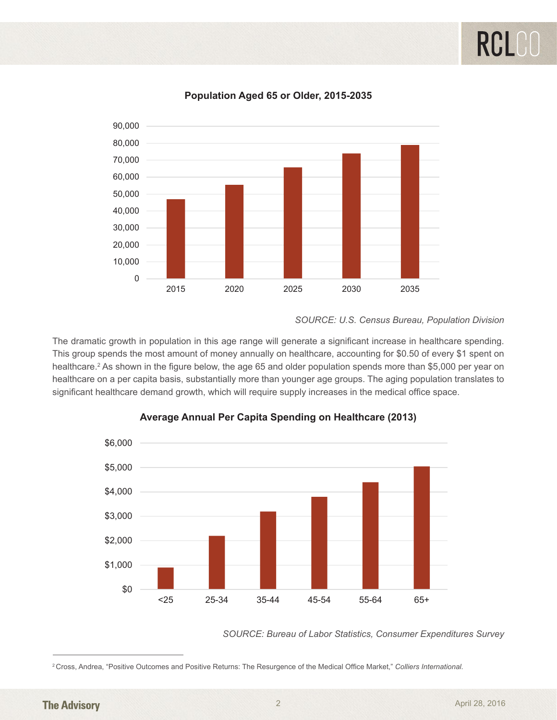

#### **Population Aged 65 or Older, 2015-2035**

**SOURCE: U.S. Census Bureau, Population Division**  $s \in \mathcal{S}$  and the monoton spending the monoton of money and  $s$ 

The dramatic growth in population in this age range will generate a significant increase in healthcare spending. This group spends the most amount of money annually on healthcare, accounting for \$0.50 of every \$1 spent on healthcare.<sup>2</sup> As shown in the figure below, the age 65 and older population spends more than \$5,000 per year on healthcare on a per capita basis, substantially more than younger age groups. The aging population translates to significant healthcare demand growth, which will require supply increases in the medical office space.



# **Average Annual Per Capita Spending on Average Annual Per Capita Spending on Healthcare (2013) Average Annual Per Capita Spending on**

*SOURCE: Bureau of Labor Statistics, Consumer Expenditures Survey*

A driving factor behind healthcare cost increases among elderly Americans is the growing prevalence of

A driving factor behind healthcare cost increases among elderly Americans is the growing prevalence of

<sup>&</sup>lt;sup>2</sup> Cross, Andrea, "Positive Outcomes and Positive Returns: The Resurgence of the Medical Office Market," Colliers International.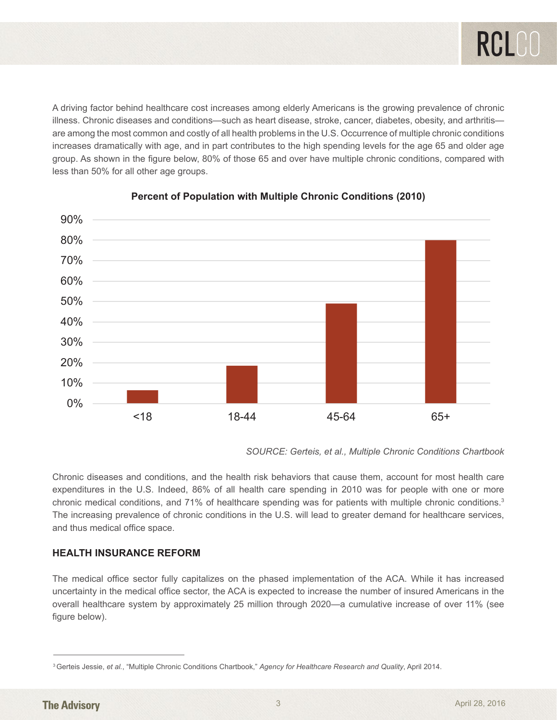A driving factor behind healthcare cost increases among elderly Americans is the growing prevalence of chronic illness. Chronic diseases and conditions—such as heart disease, stroke, cancer, diabetes, obesity, and arthritis are among the most common and costly of all health problems in the U.S. Occurrence of multiple chronic conditions<br>experience of multiple chronic conditions increases dramatically with age, and in part contributes to the high spending levels for the age 65 and older age group. As shown in the figure below, 80% of those 65 and over have multiple chronic conditions, compared with less than 50% for all other age groups. **Percent of Population with Multiple Chronic and Multiple Chronic and September 2016** 



### **Percent of Population with Multiple Chronic Conditions (2010)**

*Source: Gerteis, et al., Multiple Chronic Conditions Chartbook SOURCE: Gerteis, et al., Multiple Chronic Conditions Chartbook*

Chronic diseases and conditions, and the health risk behaviors that cause them, account for most health Chronic diseases and conditions, and the health risk behaviors that cause them, account for most health care experiditures in the U.S. Indeed, 86% of all health care spending in 2010 was for people with one or more<br>chronic medical conditions, and 71% of healthcare spending was for patients with multiple chronic conditions.<sup>3</sup> The increasing prevalence of chronic conditions in the U.S. will lead to greater demand for healthcare services, and thus medical office space. The intervalence of chronic conditions in the U.S. will lead to greater demand for  $\alpha$ expenditures in the U.S. Indeed, 86% of all health care spending in 2010 was for people with one or more

#### **HEALTH INSURANCE REFORM**

Internetiality in the medical office sector, the ACA is expected to increase the number of insured Americans in the overall healthcare system by approximately 25 million through 2020—a cumulative increase of over 11% (see<br>figure below) The medical office sector fully capitalizes on the phased implementation of the ACA. While it has increased figure below).

<sup>3</sup> Gerteis Jessie, *et al.*, "Multiple Chronic Conditions Chartbook," *Agency for Healthcare Research and Quality*, April 2014.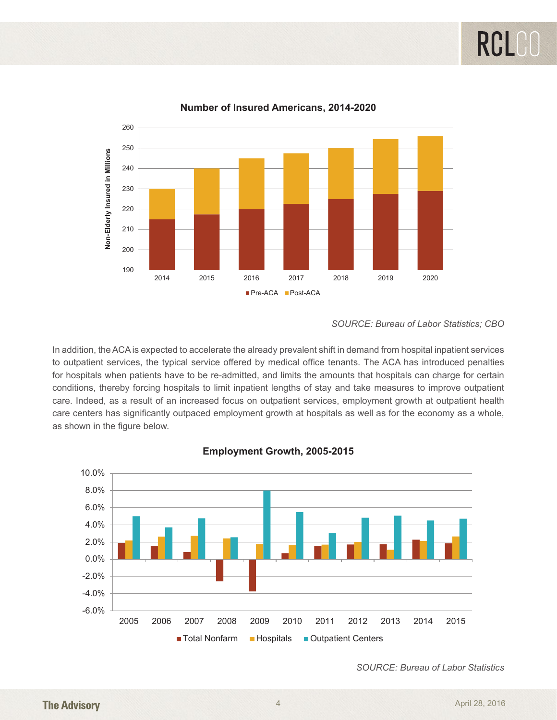RCL



**Number of Insured Americans, 2014-2020 Number of Insured Americans, 2014-2020**

*SOURCE: Bureau of Labor Statistics; CBO*

 $s_{\rm A}$  is overseted to oppose the already provalent shift in demand from been to innerial  $\alpha$ In addition, the ACA is expected to accelerate the already prevalent shift in demand from hospital inpatient services to outpatient services, the typical service offered by medical office tenants. The ACA has introduced penalties for hospitals when patients have to be re-admitted, and limits the amounts that hospitals can charge for certain thereby feming been tele to limit innetiant lengthe of stay and teles mesource to improve conditions, thereby forcing hospitals to limit inpatient lengths of stay and take measures to improve outpatient care. Indeed, as a result of an increased focus on outpatient services, employment growth at outpatient health care centers has significantly outpaced employment growth at hospitals as well as for the economy as a whole, as shown in the figure below.



# **Employment Growth, 2005-2015 Employment Growth, 2005-2015**

*Source: Bureau of Labor Statistics SOURCE: Bureau of Labor Statistics*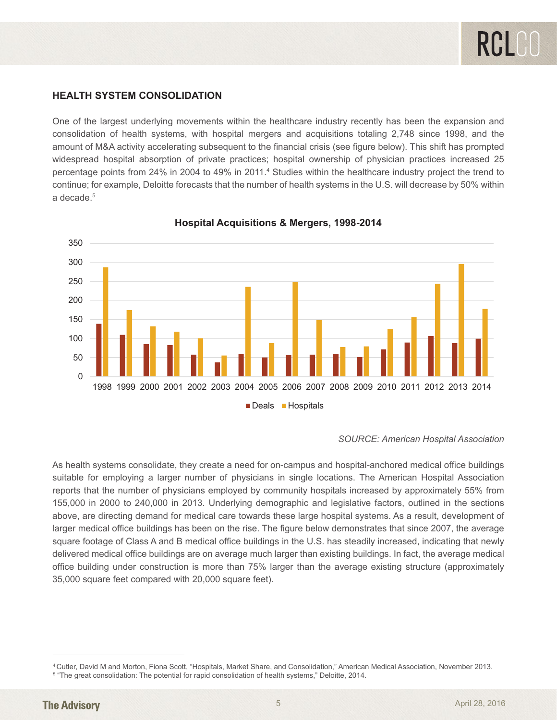#### **HEALTH SYSTEM CONSOLIDATION**

One of the largest underlying movements within the healthcare industry recently has been the expansion and consolidation of health systems, with hospital mergers and acquisitions totaling 2,748 since 1998, and the amount of M&A activity accelerating subsequent to the financial crisis (see figure below). This shift has prompted widespread hospital absorption of private practices; hospital ownership of physician practices increased 25 percentage points from 24% in 2004 to 49% in 2011.<sup>4</sup> Studies within the healthcare industry project the trend to continue; for example, Deloitte forecasts that the number of health systems in the U.S. will decrease by 50% within a decade<sup>5</sup>



## **Hospital Acquisitions & Mergers, 1998-2014 Hospital Acquisitions & Mergers, 1998-2014**

As health systems consolidate, they create a need for on-campus and hospital-anchored medical office *SOURCE: American Hospital Association*

buildings suitable for employing a larger number of physicians in single locations. The American Hospital As health systems consolidate, they create a need for on-campus and hospital-anchored medical office buildings<br> suitable for employing a larger number of physicians in single locations. The American Hospital Association reports that the number of physicians employed by community hospitals increased by approximately 55% from 155,000 in 2000 to 240,000 in 2013. Underlying demographic and legislative factors, outlined in the sections above, are directing demand for medical care towards these large hospital systems. As a result, development of above, are directing demand for medical care towards these large hospital systems. As a result, development of<br>larger medical office buildings has been on the rise. The figure below demonstrates that since 2007, the averag square footage of Class A and B medical office buildings in the U.S. has steadily increased, indicating that newly delivered medical office buildings are on average much larger than existing buildings. In fact, the average medical office building under construction is more than 75% larger than the average existing structure (approximately 35,000 square feet compared with 20,000 square feet).

<sup>19,900</sup> 4 Cutler, David M and Morton, Fiona Scott, "Hospitals, Market Share, and Consolidation," American Medical Association, November 2013.

<sup>5</sup> "The great consolidation: The potential for rapid consolidation of health systems," Deloitte, 2014.